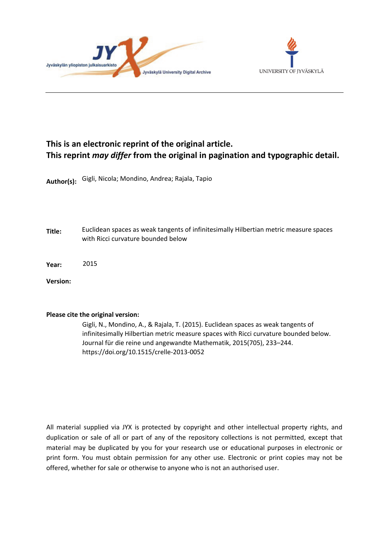



## **This is an electronic reprint of the original article. This reprint** *may differ* **from the original in pagination and typographic detail.**

**Author(s):**  Gigli, Nicola; Mondino, Andrea; Rajala, Tapio

**Title:** Euclidean spaces as weak tangents of infinitesimally Hilbertian metric measure spaces with Ricci curvature bounded below

**Year:**  2015

**Version:**

### **Please cite the original version:**

Gigli, N., Mondino, A., & Rajala, T. (2015). Euclidean spaces as weak tangents of infinitesimally Hilbertian metric measure spaces with Ricci curvature bounded below. Journal für die reine und angewandte Mathematik, 2015(705), 233–244. https://doi.org/10.1515/crelle-2013-0052

All material supplied via JYX is protected by copyright and other intellectual property rights, and duplication or sale of all or part of any of the repository collections is not permitted, except that material may be duplicated by you for your research use or educational purposes in electronic or print form. You must obtain permission for any other use. Electronic or print copies may not be offered, whether for sale or otherwise to anyone who is not an authorised user.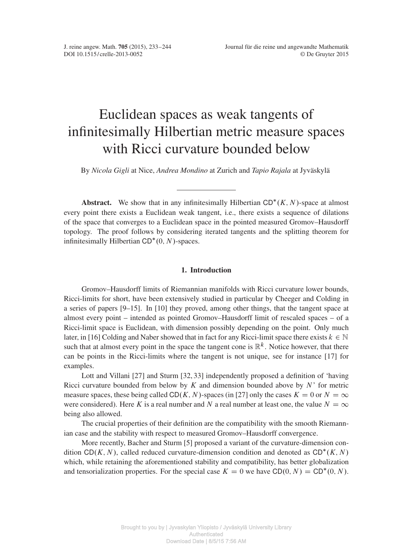# Euclidean spaces as weak tangents of infinitesimally Hilbertian metric measure spaces with Ricci curvature bounded below

By *Nicola Gigli* at Nice, *Andrea Mondino* at Zurich and *Tapio Rajala* at Jyväskylä

**Abstract.** We show that in any infinitesimally Hilbertian  $CD^*(K, N)$ -space at almost every point there exists a Euclidean weak tangent, i.e., there exists a sequence of dilations of the space that converges to a Euclidean space in the pointed measured Gromov–Hausdorff topology. The proof follows by considering iterated tangents and the splitting theorem for infinitesimally Hilbertian  $CD^*(0, N)$ -spaces.

#### 1. Introduction

Gromov–Hausdorff limits of Riemannian manifolds with Ricci curvature lower bounds, Ricci-limits for short, have been extensively studied in particular by Cheeger and Colding in a series of papers [\[9](#page-12-0)[–15\]](#page-12-1). In [\[10\]](#page-12-2) they proved, among other things, that the tangent space at almost every point – intended as pointed Gromov–Hausdorff limit of rescaled spaces – of a Ricci-limit space is Euclidean, with dimension possibly depending on the point. Only much later, in [\[16\]](#page-12-3) Colding and Naber showed that in fact for any Ricci-limit space there exists  $k \in \mathbb{N}$ such that at almost every point in the space the tangent cone is  $\mathbb{R}^k$ . Notice however, that there can be points in the Ricci-limits where the tangent is not unique, see for instance [\[17\]](#page-12-4) for examples.

Lott and Villani [\[27\]](#page-12-5) and Sturm [\[32,](#page-12-6) [33\]](#page-12-7) independently proposed a definition of 'having Ricci curvature bounded from below by K and dimension bounded above by  $N'$  for metric measure spaces, these being called CD(K, N)-spaces (in [\[27\]](#page-12-5) only the cases  $K = 0$  or  $N = \infty$ were considered). Here K is a real number and N a real number at least one, the value  $N = \infty$ being also allowed.

The crucial properties of their definition are the compatibility with the smooth Riemannian case and the stability with respect to measured Gromov–Hausdorff convergence.

More recently, Bacher and Sturm [\[5\]](#page-11-1) proposed a variant of the curvature-dimension condition CD(K, N), called reduced curvature-dimension condition and denoted as  $CD^*(K, N)$ which, while retaining the aforementioned stability and compatibility, has better globalization and tensorialization properties. For the special case  $K = 0$  we have CD(0, N) = CD<sup>\*</sup>(0, N).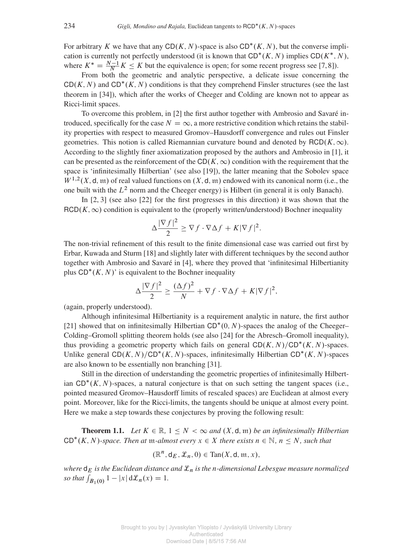For arbitrary K we have that any  $CD(K, N)$ -space is also  $CD^*(K, N)$ , but the converse implication is currently not perfectly understood (it is known that  $CD^*(K, N)$  implies  $CD(K^*, N)$ ), where  $K^* = \frac{N-1}{N} K \leq K$  but the equivalence is open; for some recent progress see [\[7,](#page-11-2) [8\]](#page-12-8)).

From both the geometric and analytic perspective, a delicate issue concerning the  $CD(K, N)$  and  $CD^*(K, N)$  conditions is that they comprehend Finsler structures (see the last theorem in [\[34\]](#page-12-9)), which after the works of Cheeger and Colding are known not to appear as Ricci-limit spaces.

To overcome this problem, in [\[2\]](#page-11-3) the first author together with Ambrosio and Savaré introduced, specifically for the case  $N = \infty$ , a more restrictive condition which retains the stability properties with respect to measured Gromov–Hausdorff convergence and rules out Finsler geometries. This notion is called Riemannian curvature bound and denoted by  $RCD(K,\infty)$ . According to the slightly finer axiomatization proposed by the authors and Ambrosio in [\[1\]](#page-11-4), it can be presented as the reinforcement of the CD( $K, \infty$ ) condition with the requirement that the space is 'infinitesimally Hilbertian' (see also [\[19\]](#page-12-10)), the latter meaning that the Sobolev space  $W^{1,2}(X, \mathsf{d}, \mathfrak{m})$  of real valued functions on  $(X, \mathsf{d}, \mathfrak{m})$  endowed with its canonical norm (i.e., the one built with the  $L^2$  norm and the Cheeger energy) is Hilbert (in general it is only Banach).

In [\[2,](#page-11-3) [3\]](#page-11-5) (see also [\[22\]](#page-12-11) for the first progresses in this direction) it was shown that the  $RCD(K,\infty)$  condition is equivalent to the (properly written/understood) Bochner inequality

$$
\Delta \frac{|\nabla f|^2}{2} \ge \nabla f \cdot \nabla \Delta f + K |\nabla f|^2.
$$

The non-trivial refinement of this result to the finite dimensional case was carried out first by Erbar, Kuwada and Sturm [\[18\]](#page-12-12) and slightly later with different techniques by the second author together with Ambrosio and Savaré in [\[4\]](#page-11-6), where they proved that 'infinitesimal Hilbertianity plus  $CD^*(K, N)'$  is equivalent to the Bochner inequality

$$
\Delta \frac{|\nabla f|^2}{2} \ge \frac{(\Delta f)^2}{N} + \nabla f \cdot \nabla \Delta f + K|\nabla f|^2,
$$

(again, properly understood).

Although infinitesimal Hilbertianity is a requirement analytic in nature, the first author [\[21\]](#page-12-13) showed that on infinitesimally Hilbertian  $CD^*(0, N)$ -spaces the analog of the Cheeger– Colding–Gromoll splitting theorem holds (see also [\[24\]](#page-12-14) for the Abresch–Gromoll inequality), thus providing a geometric property which fails on general  $CD(K, N)/CD^*(K, N)$ -spaces. Unlike general  $CD(K, N)/CD^*(K, N)$ -spaces, infinitesimally Hilbertian  $CD^*(K, N)$ -spaces are also known to be essentially non branching [\[31\]](#page-12-15).

Still in the direction of understanding the geometric properties of infinitesimally Hilbertian  $CD^*(K, N)$ -spaces, a natural conjecture is that on such setting the tangent spaces (i.e., pointed measured Gromov–Hausdorff limits of rescaled spaces) are Euclidean at almost every point. Moreover, like for the Ricci-limits, the tangents should be unique at almost every point. Here we make a step towards these conjectures by proving the following result:

<span id="page-2-0"></span>**Theorem 1.1.** Let  $K \in \mathbb{R}$ ,  $1 \leq N < \infty$  and  $(X, \mathsf{d}, \mathfrak{m})$  be an infinitesimally Hilbertian  $CD^*(K, N)$ -space. Then at  $m$ -almost every  $x \in X$  there exists  $n \in \mathbb{N}$ ,  $n \leq N$ , such that

$$
(\mathbb{R}^n, \mathsf{d}_E, \mathcal{L}_n, 0) \in \mathrm{Tan}(X, \mathsf{d}, \mathfrak{m}, x),
$$

*where*  $d_E$  *is the Euclidean distance and*  $\mathcal{L}_n$  *is the n-dimensional Lebesgue measure normalized so that*  $\int_{B_1(0)} 1 - |x| d\mathcal{L}_n(x) = 1.$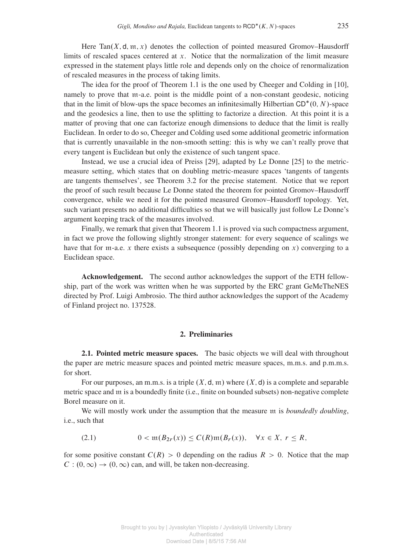Here Tan $(X, \mathsf{d}, \mathfrak{m}, x)$  denotes the collection of pointed measured Gromov–Hausdorff limits of rescaled spaces centered at x. Notice that the normalization of the limit measure expressed in the statement plays little role and depends only on the choice of renormalization of rescaled measures in the process of taking limits.

The idea for the proof of Theorem [1.1](#page-2-0) is the one used by Cheeger and Colding in [\[10\]](#page-12-2), namely to prove that m-a.e. point is the middle point of a non-constant geodesic, noticing that in the limit of blow-ups the space becomes an infinitesimally Hilbertian  $CD^*(0, N)$ -space and the geodesics a line, then to use the splitting to factorize a direction. At this point it is a matter of proving that one can factorize enough dimensions to deduce that the limit is really Euclidean. In order to do so, Cheeger and Colding used some additional geometric information that is currently unavailable in the non-smooth setting: this is why we can't really prove that every tangent is Euclidean but only the existence of such tangent space.

Instead, we use a crucial idea of Preiss [\[29\]](#page-12-16), adapted by Le Donne [\[25\]](#page-12-17) to the metricmeasure setting, which states that on doubling metric-measure spaces 'tangents of tangents are tangents themselves', see Theorem [3.2](#page-8-0) for the precise statement. Notice that we report the proof of such result because Le Donne stated the theorem for pointed Gromov–Hausdorff convergence, while we need it for the pointed measured Gromov–Hausdorff topology. Yet, such variant presents no additional difficulties so that we will basically just follow Le Donne's argument keeping track of the measures involved.

Finally, we remark that given that Theorem [1.1](#page-2-0) is proved via such compactness argument, in fact we prove the following slightly stronger statement: for every sequence of scalings we have that for m-a.e. x there exists a subsequence (possibly depending on x) converging to a Euclidean space.

Acknowledgement. The second author acknowledges the support of the ETH fellowship, part of the work was written when he was supported by the ERC grant GeMeTheNES directed by Prof. Luigi Ambrosio. The third author acknowledges the support of the Academy of Finland project no. 137528.

#### 2. Preliminaries

2.1. Pointed metric measure spaces. The basic objects we will deal with throughout the paper are metric measure spaces and pointed metric measure spaces, m.m.s. and p.m.m.s. for short.

For our purposes, an m.m.s. is a triple  $(X, \mathsf{d}, \mathfrak{m})$  where  $(X, \mathsf{d})$  is a complete and separable metric space and m is a boundedly finite (i.e., finite on bounded subsets) non-negative complete Borel measure on it.

We will mostly work under the assumption that the measure m is *boundedly doubling*, i.e., such that

<span id="page-3-0"></span>
$$
(2.1) \t 0 < \operatorname{tr}(B_{2r}(x)) \le C(R)\operatorname{tr}(B_r(x)), \quad \forall x \in X, r \le R,
$$

for some positive constant  $C(R) > 0$  depending on the radius  $R > 0$ . Notice that the map  $C: (0, \infty) \rightarrow (0, \infty)$  can, and will, be taken non-decreasing.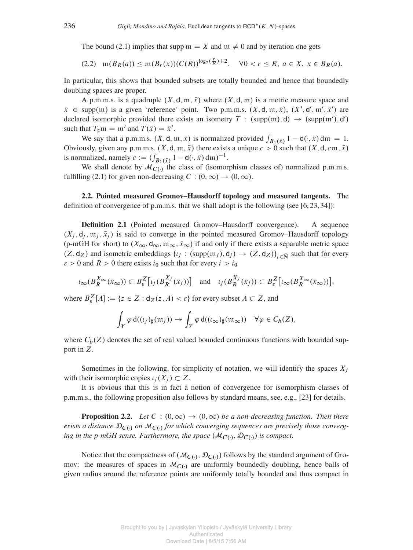The bound [\(2.1\)](#page-3-0) implies that supp  $m = X$  and  $m \neq 0$  and by iteration one gets

<span id="page-4-2"></span>
$$
(2.2) \quad \mathfrak{m}(B_R(a)) \le \mathfrak{m}(B_r(x)) (C(R))^{\log_2(\frac{r}{R})+2}, \quad \forall 0 < r \le R, \ a \in X, \ x \in B_R(a).
$$

In particular, this shows that bounded subsets are totally bounded and hence that boundedly doubling spaces are proper.

A p.m.m.s. is a quadruple  $(X, d, \mathfrak{m}, \bar{x})$  where  $(X, d, \mathfrak{m})$  is a metric measure space and  $\bar{x} \in \text{supp}(\mathfrak{m})$  is a given 'reference' point. Two p.m.m.s.  $(X, \mathsf{d}, \mathfrak{m}, \bar{x})$ ,  $(X', \mathsf{d}', \mathfrak{m}', \bar{x}')$  are declared isomorphic provided there exists an isometry  $T : (supp(m), d) \rightarrow (supp(m'), d')$ such that  $T_{\sharp}$  m = m' and  $T(\bar{x}) = \bar{x}'$ .

We say that a p.m.m.s.  $(X, \mathsf{d}, \mathfrak{m}, \bar{x})$  is normalized provided  $\int_{B_1(\bar{x})} 1 - \mathsf{d}(\cdot, \bar{x}) \, \mathrm{d}\mathfrak{m} = 1$ . Obviously, given any p.m.m.s.  $(X, \mathsf{d}, \mathfrak{m}, \bar{x})$  there exists a unique  $c > 0$  such that  $(X, \mathsf{d}, c\mathfrak{m}, \bar{x})$ is normalized, namely  $c := (\int_{B_1(\bar{x})} 1 - d(\cdot, \bar{x}) dm)^{-1}$ .

We shall denote by  $\mathcal{M}_{C(\cdot)}$  the class of (isomorphism classes of) normalized p.m.m.s. fulfilling [\(2.1\)](#page-3-0) for given non-decreasing  $C : (0, \infty) \rightarrow (0, \infty)$ .

2.2. Pointed measured Gromov–Hausdorff topology and measured tangents. The definition of convergence of p.m.m.s. that we shall adopt is the following (see  $[6, 23, 34]$  $[6, 23, 34]$  $[6, 23, 34]$  $[6, 23, 34]$  $[6, 23, 34]$ ):

<span id="page-4-1"></span>Definition 2.1 (Pointed measured Gromov–Hausdorff convergence). A sequence  $(X_i, d_i, \mathfrak{m}_i, \bar{x}_i)$  is said to converge in the pointed measured Gromov–Hausdorff topology (p-mGH for short) to  $(X_\infty, \mathsf{d}_\infty, \mathfrak{m}_\infty, \bar{X}_\infty)$  if and only if there exists a separable metric space  $(Z, d_Z)$  and isometric embeddings  $\{i_j : (supp(\mathfrak{m}_j), d_j) \to (Z, d_Z)\}_{i \in \bar{N}}$  such that for every  $\varepsilon > 0$  and  $R > 0$  there exists  $i_0$  such that for every  $i > i_0$ 

$$
\iota_{\infty}(B_R^{X_{\infty}}(\bar{x}_{\infty})) \subset B_{\varepsilon}^Z[\iota_j(B_R^{X_j}(\bar{x}_j))] \quad \text{and} \quad \iota_j(B_R^{X_j}(\bar{x}_j)) \subset B_{\varepsilon}^Z[\iota_{\infty}(B_R^{X_{\infty}}(\bar{x}_{\infty}))],
$$

where  $B_{\varepsilon}^{Z}[A] := \{ z \in Z : d_{Z}(z, A) < \varepsilon \}$  for every subset  $A \subset Z$ , and

$$
\int_Y \varphi \, d((\iota_j)_\sharp(\mathfrak{m}_j)) \to \int_Y \varphi \, d((\iota_\infty)_\sharp(\mathfrak{m}_\infty)) \quad \forall \varphi \in C_b(Z),
$$

where  $C_b(Z)$  denotes the set of real valued bounded continuous functions with bounded support in Z.

Sometimes in the following, for simplicity of notation, we will identify the spaces  $X_i$ with their isomorphic copies  $\iota_i(X_i) \subset Z$ .

It is obvious that this is in fact a notion of convergence for isomorphism classes of p.m.m.s., the following proposition also follows by standard means, see, e.g., [\[23\]](#page-12-18) for details.

<span id="page-4-0"></span>**Proposition 2.2.** *Let*  $C : (0, \infty) \rightarrow (0, \infty)$  *be a non-decreasing function. Then there* exists a distance  $\mathfrak{D}_{C(\cdot)}$  on  $\mathcal{M}_{C(\cdot)}$  for which converging sequences are precisely those converging in the p-mGH sense. Furthermore, the space  $(\mathcal{M}_{C(\cdot)}, \mathfrak{D}_{C(\cdot)})$  is compact.

Notice that the compactness of  $(M_{C(\cdot)}, \mathcal{D}_{C(\cdot)})$  follows by the standard argument of Gromov: the measures of spaces in  $\mathcal{M}_{C(\cdot)}$  are uniformly boundedly doubling, hence balls of given radius around the reference points are uniformly totally bounded and thus compact in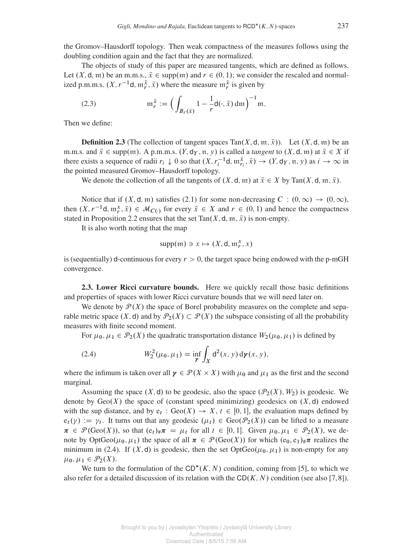the Gromov–Hausdorff topology. Then weak compactness of the measures follows using the doubling condition again and the fact that they are normalized.

The objects of study of this paper are measured tangents, which are defined as follows. Let  $(X, d, m)$  be an m.m.s.,  $\overline{x} \in \text{supp}(m)$  and  $r \in (0, 1)$ ; we consider the rescaled and normalized p.m.m.s.  $(X, r^{-1}d, \mathfrak{m}_r^{\bar{x}}, \bar{x})$  where the measure  $\mathfrak{m}_r^{\bar{x}}$  is given by

<span id="page-5-1"></span>(2.3) 
$$
\mathfrak{m}_r^{\bar{x}} := \Big( \int_{B_r(\bar{x})} 1 - \frac{1}{r} \mathsf{d}(\cdot, \bar{x}) \, \mathrm{d}\mathfrak{m} \Big)^{-1} \mathfrak{m}.
$$

Then we define:

**Definition 2.3** (The collection of tangent spaces Tan $(X, d, m, \bar{x})$ ). Let  $(X, d, m)$  be an m.m.s. and  $\bar{x} \in \text{supp}(m)$ . A p.m.m.s.  $(Y, \text{d}_Y, \text{n}, y)$  is called a *tangent* to  $(X, \text{d}, m)$  at  $\bar{x} \in X$  if there exists a sequence of radii  $r_i \downarrow 0$  so that  $(X, r_i^{-1}d, \mathfrak{m}_{r_i}^{\bar{x}}, \bar{x}) \rightarrow (Y, d_Y, \mathfrak{n}, y)$  as  $i \rightarrow \infty$  in the pointed measured Gromov–Hausdorff topology.

We denote the collection of all the tangents of  $(X, \mathsf{d}, \mathfrak{m})$  at  $\bar{x} \in X$  by Tan $(X, \mathsf{d}, \mathfrak{m}, \bar{x})$ .

Notice that if  $(X, \mathsf{d}, \mathfrak{m})$  satisfies [\(2.1\)](#page-3-0) for some non-decreasing  $C : (0, \infty) \to (0, \infty)$ , then  $(X, r^{-1}d, m_r^x, \bar{x}) \in M_{C(1)}$  for every  $\bar{x} \in X$  and  $r \in (0, 1)$  and hence the compactness stated in Proposition [2.2](#page-4-0) ensures that the set Tan $(X, d, m, \bar{x})$  is non-empty.

It is also worth noting that the map

$$
supp(\mathfrak{m}) \ni x \mapsto (X, \mathsf{d}, \mathfrak{m}_r^x, x)
$$

is (sequentially) d-continuous for every  $r > 0$ , the target space being endowed with the p-mGH convergence.

2.3. Lower Ricci curvature bounds. Here we quickly recall those basic definitions and properties of spaces with lower Ricci curvature bounds that we will need later on.

We denote by  $\mathcal{P}(X)$  the space of Borel probability measures on the complete and separable metric space  $(X, d)$  and by  $\mathcal{P}_2(X) \subset \mathcal{P}(X)$  the subspace consisting of all the probability measures with finite second moment.

For  $\mu_0, \mu_1 \in \mathcal{P}_2(X)$  the quadratic transportation distance  $W_2(\mu_0, \mu_1)$  is defined by

<span id="page-5-0"></span>(2.4) 
$$
W_2^2(\mu_0, \mu_1) = \inf_{\mathcal{V}} \int_X d^2(x, y) d\mathcal{V}(x, y),
$$

where the infimum is taken over all  $\gamma \in \mathcal{P}(X \times X)$  with  $\mu_0$  and  $\mu_1$  as the first and the second marginal.

Assuming the space  $(X, d)$  to be geodesic, also the space  $(\mathcal{P}_2(X), W_2)$  is geodesic. We denote by  $Geo(X)$  the space of (constant speed minimizing) geodesics on  $(X, d)$  endowed with the sup distance, and by  $e_t$ :  $Geo(X) \rightarrow X, t \in [0, 1]$ , the evaluation maps defined by  $e_t(\gamma) := \gamma_t$ . It turns out that any geodesic  $(\mu_t) \in \text{Geo}(\mathcal{P}_2(X))$  can be lifted to a measure  $\pi \in \mathcal{P}(\text{Geo}(X))$ , so that  $(e_t)_\# \pi = \mu_t$  for all  $t \in [0, 1]$ . Given  $\mu_0, \mu_1 \in \mathcal{P}_2(X)$ , we denote by OptGeo( $\mu_0, \mu_1$ ) the space of all  $\pi \in \mathcal{P}(\text{Geo}(X))$  for which  $(e_0, e_1)_\# \pi$  realizes the minimum in [\(2.4\)](#page-5-0). If  $(X, d)$  is geodesic, then the set  $OptGeo(\mu_0, \mu_1)$  is non-empty for any  $\mu_0, \mu_1 \in \mathcal{P}_2(X).$ 

We turn to the formulation of the  $CD^*(K, N)$  condition, coming from [\[5\]](#page-11-1), to which we also refer for a detailed discussion of its relation with the  $CD(K, N)$  condition (see also [\[7,](#page-11-2)[8\]](#page-12-8)).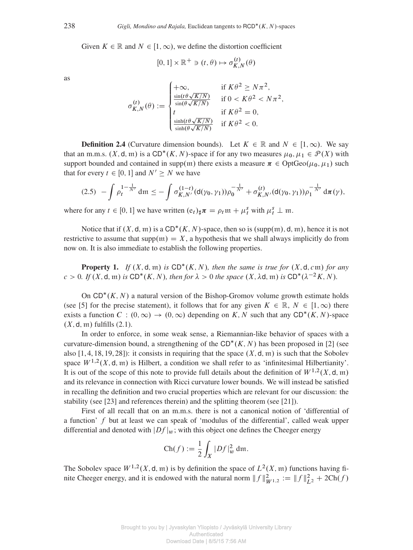Given  $K \in \mathbb{R}$  and  $N \in [1,\infty)$ , we define the distortion coefficient

$$
[0,1] \times \mathbb{R}^+ \ni (t,\theta) \mapsto \sigma_{K,N}^{(t)}(\theta)
$$

as

$$
\sigma_{K,N}^{(t)}(\theta) := \begin{cases}\n+\infty, & \text{if } K\theta^2 \ge N\pi^2, \\
\frac{\sin(t\theta\sqrt{K/N})}{\sin(\theta\sqrt{K/N})} & \text{if } 0 < K\theta^2 < N\pi^2, \\
t & \text{if } K\theta^2 = 0, \\
\frac{\sinh(t\theta\sqrt{K/N})}{\sinh(\theta\sqrt{K/N})} & \text{if } K\theta^2 < 0.\n\end{cases}
$$

**Definition 2.4** (Curvature dimension bounds). Let  $K \in \mathbb{R}$  and  $N \in [1,\infty)$ . We say that an m.m.s.  $(X, \mathsf{d}, \mathfrak{m})$  is a  $CD^*(K, N)$ -space if for any two measures  $\mu_0, \mu_1 \in \mathcal{P}(X)$  with support bounded and contained in supp $(m)$  there exists a measure  $\pi \in \text{OptGeo}(\mu_0, \mu_1)$  such that for every  $t \in [0, 1]$  and  $N' \geq N$  we have

<span id="page-6-1"></span>
$$
(2.5) \ - \int \rho_t^{1-\frac{1}{N'}} \, \mathrm{d}\mathfrak{m} \leq - \int \sigma_{K,N'}^{(1-t)}(\mathrm{d}(\gamma_0,\gamma_1)) \rho_0^{-\frac{1}{N'}} + \sigma_{K,N'}^{(t)}(\mathrm{d}(\gamma_0,\gamma_1)) \rho_1^{-\frac{1}{N'}} \, \mathrm{d}\pi(\gamma),
$$

where for any  $t \in [0, 1]$  we have written  $(e_t)_{\sharp} \pi = \rho_t \mathfrak{m} + \mu_t^s$  with  $\mu_t^s \perp \mathfrak{m}$ .

Notice that if  $(X, d, m)$  is a  $CD^*(K, N)$ -space, then so is  $(supp(m), d, m)$ , hence it is not restrictive to assume that  $supp(m) = X$ , a hypothesis that we shall always implicitly do from now on. It is also immediate to establish the following properties.

<span id="page-6-0"></span>**Property 1.** If  $(X, d, \mathfrak{m})$  is  $CD^*(K, N)$ , then the same is true for  $(X, d, c \mathfrak{m})$  for any  $c > 0$ *. If*  $(X, \mathsf{d}, \mathfrak{m})$  *is*  $CD^*(K, N)$ *, then for*  $\lambda > 0$  *the space*  $(X, \lambda \mathsf{d}, \mathfrak{m})$  *is*  $CD^*(\lambda^{-2}K, N)$ *.* 

On  $CD^*(K, N)$  a natural version of the Bishop-Gromov volume growth estimate holds (see [\[5\]](#page-11-1) for the precise statement), it follows that for any given  $K \in \mathbb{R}$ ,  $N \in [1,\infty)$  there exists a function  $C : (0, \infty) \to (0, \infty)$  depending on K, N such that any CD<sup>\*</sup>(K, N)-space  $(X, \mathsf{d}, \mathfrak{m})$  fulfills  $(2.1)$ .

In order to enforce, in some weak sense, a Riemannian-like behavior of spaces with a curvature-dimension bound, a strengthening of the  $CD^*(K, N)$  has been proposed in [\[2\]](#page-11-3) (see also [\[1,](#page-11-4) [4,](#page-11-6) [18,](#page-12-12) [19,](#page-12-10) [28\]](#page-12-19)): it consists in requiring that the space  $(X, d, \mathfrak{m})$  is such that the Sobolev space  $W^{1,2}(X, \mathsf{d}, \mathfrak{m})$  is Hilbert, a condition we shall refer to as 'infinitesimal Hilbertianity'. It is out of the scope of this note to provide full details about the definition of  $W^{1,2}(X, \mathsf{d}, \mathfrak{m})$ and its relevance in connection with Ricci curvature lower bounds. We will instead be satisfied in recalling the definition and two crucial properties which are relevant for our discussion: the stability (see [\[23\]](#page-12-18) and references therein) and the splitting theorem (see [\[21\]](#page-12-13)).

First of all recall that on an m.m.s. there is not a canonical notion of 'differential of a function' f but at least we can speak of 'modulus of the differential', called weak upper differential and denoted with  $|Df|_w$ ; with this object one defines the Cheeger energy

$$
\operatorname{Ch}(f) := \frac{1}{2} \int_X |Df|_w^2 \operatorname{dm}.
$$

The Sobolev space  $W^{1,2}(X, \mathsf{d}, \mathfrak{m})$  is by definition the space of  $L^2(X, \mathfrak{m})$  functions having finite Cheeger energy, and it is endowed with the natural norm  $|| f ||_{W^{1,2}}^2 := || f ||_{L^2}^2 + 2\text{Ch}(f)$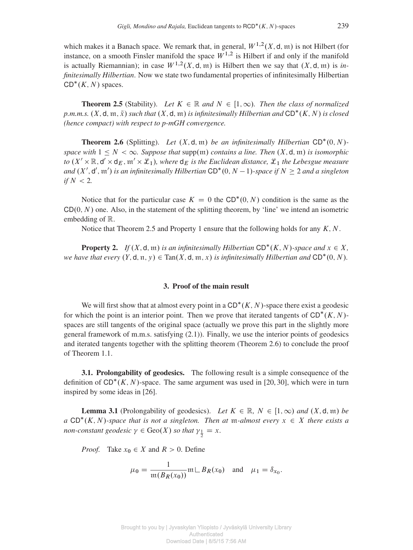which makes it a Banach space. We remark that, in general,  $W^{1,2}(X, \mathsf{d}, \mathfrak{m})$  is not Hilbert (for instance, on a smooth Finsler manifold the space  $W^{1,2}$  is Hilbert if and only if the manifold is actually Riemannian); in case  $W^{1,2}(X, \mathsf{d}, \mathfrak{m})$  is Hilbert then we say that  $(X, \mathsf{d}, \mathfrak{m})$  is *infinitesimally Hilbertian*. Now we state two fundamental properties of infinitesimally Hilbertian  $CD^*(K, N)$  spaces.

<span id="page-7-0"></span>**Theorem 2.5** (Stability). Let  $K \in \mathbb{R}$  and  $N \in [1,\infty)$ . Then the class of normalized *p.m.m.s.*  $(X, \mathsf{d}, \mathfrak{m}, \bar{x})$  such that  $(X, \mathsf{d}, \mathfrak{m})$  is infinitesimally Hilbertian and  $\mathsf{CD}^*(K, N)$  is closed *(hence compact) with respect to p-mGH convergence.*

<span id="page-7-1"></span>**Theorem 2.6** (Splitting). Let  $(X, \mathsf{d}, \mathfrak{m})$  be an infinitesimally Hilbertian  $CD^*(0, N)$ *space with*  $1 \leq N < \infty$ *. Suppose that* supp(m) *contains a line. Then*  $(X, \mathsf{d}, \mathfrak{m})$  *is isomorphic to*  $(X' \times \mathbb{R}, d' \times d_E, m' \times \mathcal{L}_1)$ , where  $d_E$  *is the Euclidean distance,*  $\mathcal{L}_1$  *the Lebesgue measure* and  $(X', d', \mathfrak{m}')$  is an infinitesimally Hilbertian  $CD^*(0, N-1)$ -space if  $N \geq 2$  and a singleton *if*  $N < 2$ *.* 

Notice that for the particular case  $K = 0$  the CD<sup>\*</sup>(0, N) condition is the same as the  $CD(0, N)$  one. Also, in the statement of the splitting theorem, by 'line' we intend an isometric embedding of R.

Notice that Theorem [2.5](#page-7-0) and Property [1](#page-6-0) ensure that the following holds for any  $K, N$ .

<span id="page-7-3"></span>**Property 2.** If  $(X, d, \mathfrak{m})$  is an infinitesimally Hilbertian  $CD^*(K, N)$ -space and  $x \in X$ , *we have that every*  $(Y, d, \pi, y) \in \text{Tan}(X, d, \pi, x)$  *is infinitesimally Hilbertian and*  $CD^*(0, N)$ *.* 

#### 3. Proof of the main result

We will first show that at almost every point in a  $CD^*(K, N)$ -space there exist a geodesic for which the point is an interior point. Then we prove that iterated tangents of  $CD^*(K, N)$ spaces are still tangents of the original space (actually we prove this part in the slightly more general framework of m.m.s. satisfying [\(2.1\)](#page-3-0)). Finally, we use the interior points of geodesics and iterated tangents together with the splitting theorem (Theorem [2.6\)](#page-7-1) to conclude the proof of Theorem [1.1.](#page-2-0)

3.1. Prolongability of geodesics. The following result is a simple consequence of the definition of  $CD^*(K, N)$ -space. The same argument was used in [\[20,](#page-12-20) [30\]](#page-12-21), which were in turn inspired by some ideas in [\[26\]](#page-12-22).

<span id="page-7-2"></span>**Lemma 3.1** (Prolongability of geodesics). Let  $K \in \mathbb{R}$ ,  $N \in [1,\infty)$  and  $(X,d,\mathfrak{m})$  be  $a$  CD<sup>\*</sup>(*K*, *N*)-space that is not a singleton. Then at m-almost every  $x \in X$  there exists a *non-constant geodesic*  $\gamma \in \text{Geo}(X)$  *so that*  $\gamma_{\frac{1}{2}} = x$ *.* 

*Proof.* Take  $x_0 \in X$  and  $R > 0$ . Define

$$
\mu_0 = \frac{1}{\mathfrak{m}(B_R(x_0))} \mathfrak{m} \mathfrak{L} B_R(x_0) \quad \text{and} \quad \mu_1 = \delta_{x_0}.
$$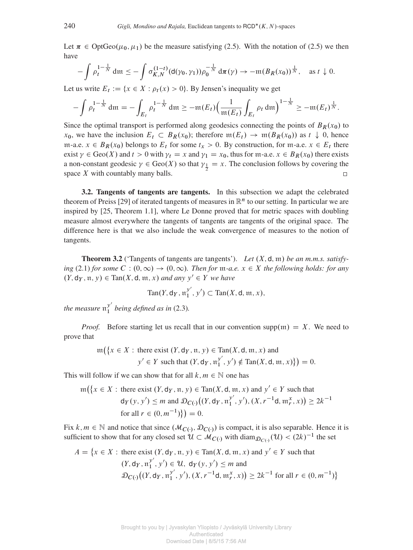Let  $\pi \in \text{OptGeo}(\mu_0, \mu_1)$  be the measure satisfying [\(2.5\)](#page-6-1). With the notation of (2.5) we then have

$$
-\int \rho_t^{1-\frac{1}{N}}\mathrm{d}\mathfrak{m}\leq -\int \sigma_{K,N}^{(1-t)}(\mathrm{d}(\gamma_0,\gamma_1))\rho_0^{-\frac{1}{N}}\mathrm{d}\pi(\gamma)\to -\mathfrak{m}(B_R(x_0))^{\frac{1}{N}},\quad \text{as }t\downarrow 0.
$$

Let us write  $E_t := \{x \in X : \rho_t(x) > 0\}$ . By Jensen's inequality we get

$$
-\int \rho_t^{1-\frac{1}{N}} \, \mathrm{d}\mathfrak{m} = -\int_{E_t} \rho_t^{1-\frac{1}{N}} \, \mathrm{d}\mathfrak{m} \ge -\mathfrak{m}(E_t) \Big( \frac{1}{\mathfrak{m}(E_t)} \int_{E_t} \rho_t \, \mathrm{d}\mathfrak{m} \Big)^{1-\frac{1}{N}} \ge -\mathfrak{m}(E_t)^{\frac{1}{N}}.
$$

Since the optimal transport is performed along geodesics connecting the points of  $B_R(x_0)$  to  $x_0$ , we have the inclusion  $E_t \subset B_R(x_0)$ ; therefore  $\mathfrak{m}(E_t) \to \mathfrak{m}(B_R(x_0))$  as  $t \downarrow 0$ , hence m-a.e.  $x \in B_R(x_0)$  belongs to  $E_t$  for some  $t_x > 0$ . By construction, for m-a.e.  $x \in E_t$  there exist  $\gamma \in \text{Geo}(X)$  and  $t > 0$  with  $\gamma_t = x$  and  $\gamma_1 = x_0$ , thus for m-a.e.  $x \in B_R(x_0)$  there exists a non-constant geodesic  $\gamma \in \text{Geo}(X)$  so that  $\gamma_{\frac{1}{2}} = x$ . The conclusion follows by covering the space  $X$  with countably many balls.  $\Box$ 

3.2. Tangents of tangents are tangents. In this subsection we adapt the celebrated theorem of Preiss [\[29\]](#page-12-16) of iterated tangents of measures in  $\mathbb{R}^n$  to our setting. In particular we are inspired by [\[25,](#page-12-17) Theorem 1.1], where Le Donne proved that for metric spaces with doubling measure almost everywhere the tangents of tangents are tangents of the original space. The difference here is that we also include the weak convergence of measures to the notion of tangents.

<span id="page-8-0"></span>**Theorem 3.2** ('Tangents of tangents are tangents'). Let  $(X, d, m)$  be an m.m.s. satisfy*ing* [\(2.1\)](#page-3-0) *for some*  $C : (0, \infty) \rightarrow (0, \infty)$ . *Then for*  $m$ *-a.e.*  $x \in X$  *the following holds: for any*  $(Y, \mathsf{d}_Y, \mathfrak{n}, y) \in \text{Tan}(X, \mathsf{d}, \mathfrak{m}, x)$  *and any*  $y' \in Y$  *we have* 

$$
\mathrm{Tan}(Y,\mathsf{d}_Y,\mathfrak{n}_1^{y'},y')\subset \mathrm{Tan}(X,\mathsf{d},\mathfrak{m},x),
$$

*the measure*  $\mathfrak{n}_1^{\mathcal{Y}'}$  $\frac{y}{1}$  being defined as in [\(2.3\)](#page-5-1).

*Proof.* Before starting let us recall that in our convention supp $(m) = X$ . We need to prove that

$$
\operatorname{m}(\lbrace x \in X : \text{there exist } (Y, \mathsf{d}_Y, \mathfrak{n}, y) \in \operatorname{Tan}(X, \mathsf{d}, \mathfrak{m}, x) \text{ and }
$$

$$
y' \in Y \text{ such that } (Y, \mathsf{d}_Y, \mathfrak{n}_1^{y'}, y') \notin \operatorname{Tan}(X, \mathsf{d}, \mathfrak{m}, x) \rbrace = 0.
$$

This will follow if we can show that for all  $k, m \in \mathbb{N}$  one has

$$
\operatorname{m}(\lbrace x \in X : \text{there exist } (Y, \mathsf{d}_Y, \mathfrak{n}, y) \in \operatorname{Tan}(X, \mathsf{d}, \mathfrak{m}, x) \text{ and } y' \in Y \text{ such that}
$$
\n
$$
\mathsf{d}_Y(y, y') \le m \text{ and } \mathfrak{D}_{C(\cdot)}((Y, \mathsf{d}_Y, \mathfrak{n}_1^{y'}, y'), (X, r^{-1}\mathsf{d}, \mathfrak{m}_r^x, x)) \ge 2k^{-1}
$$
\n
$$
\text{for all } r \in (0, m^{-1})\rbrace = 0.
$$

Fix  $k, m \in \mathbb{N}$  and notice that since  $(M_{C(1)}, \mathcal{D}_{C(1)})$  is compact, it is also separable. Hence it is sufficient to show that for any closed set  $\mathcal{U} \subset \mathcal{M}_{C(\cdot)}$  with diam $\mathcal{D}_{C(\cdot)}(\mathcal{U}) < (2k)^{-1}$  the set

$$
A = \{x \in X : \text{there exist } (Y, \mathsf{d}_Y, \mathfrak{n}, y) \in \text{Tan}(X, \mathsf{d}, \mathfrak{m}, x) \text{ and } y' \in Y \text{ such that}
$$
  
\n
$$
(Y, \mathsf{d}_Y, \mathfrak{n}_1^{y'}, y') \in U, \mathsf{d}_Y(y, y') \le m \text{ and}
$$
  
\n
$$
\mathcal{D}_{C}(\big(\big(Y, \mathsf{d}_Y, \mathfrak{n}_1^{y'}, y'\big), \big(X, r^{-1}\mathsf{d}, \mathfrak{m}_r^x, x\big)\big) \ge 2k^{-1} \text{ for all } r \in (0, m^{-1})\}
$$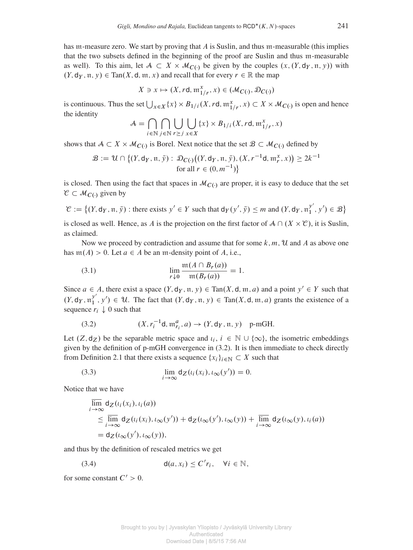has m-measure zero. We start by proving that A is Suslin, and thus m-measurable (this implies that the two subsets defined in the beginning of the proof are Suslin and thus m-measurable as well). To this aim, let  $A \subset X \times M_{C(1)}$  be given by the couples  $(x, (Y, d_Y, \pi, y))$  with  $(Y, d_Y, \pi, y) \in \text{Tan}(X, d, \pi, x)$  and recall that for every  $r \in \mathbb{R}$  the map

$$
X \ni x \mapsto (X, r\mathsf{d}, \mathfrak{m}_{1/r}^x, x) \in (\mathcal{M}_{C(\cdot)}, \mathcal{D}_{C(\cdot)})
$$

is continuous. Thus the set  $\bigcup_{x \in X} \{x\} \times B_{1/i}(X, rd, \mathfrak{m}_{1/r}^x, x) \subset X \times \mathcal{M}_{C(\cdot)}$  is open and hence the identity

$$
\mathcal{A} = \bigcap_{i \in \mathbb{N}} \bigcap_{j \in \mathbb{N}} \bigcup_{r \geq j} \bigcup_{x \in X} \{x\} \times B_{1/i}(X, rd, \mathfrak{m}_{1/r}^x, x)
$$

shows that  $A \subset X \times M_{C(\cdot)}$  is Borel. Next notice that the set  $B \subset M_{C(\cdot)}$  defined by

$$
\mathcal{B} := \mathcal{U} \cap \left\{ (Y, \mathsf{d}_Y, \mathfrak{n}, \bar{y}) : \mathcal{D}_{C(\cdot)} \big( (Y, \mathsf{d}_Y, \mathfrak{n}, \bar{y}), (X, r^{-1}\mathsf{d}, \mathfrak{m}_r^x, x) \big) \ge 2k^{-1} \text{ for all } r \in (0, m^{-1}) \right\}
$$

is closed. Then using the fact that spaces in  $\mathcal{M}_{C}$ . are proper, it is easy to deduce that the set  $\mathcal{C} \subset \mathcal{M}_{C(\cdot)}$  given by

$$
\mathcal{C} := \left\{ (Y, \mathsf{d}_Y, \mathfrak{n}, \bar{y}) : \text{there exists } y' \in Y \text{ such that } \mathsf{d}_Y(y', \bar{y}) \leq m \text{ and } (Y, \mathsf{d}_Y, \mathfrak{n}_1^{y'}, y') \in \mathcal{B} \right\}
$$

is closed as well. Hence, as A is the projection on the first factor of  $A \cap (X \times \mathcal{C})$ , it is Suslin, as claimed.

Now we proceed by contradiction and assume that for some  $k, m, \mathcal{U}$  and A as above one has  $m(A) > 0$ . Let  $a \in A$  be an m-density point of A, i.e.,

<span id="page-9-2"></span>(3.1) 
$$
\lim_{r \downarrow 0} \frac{\mathfrak{m}(A \cap B_r(a))}{\mathfrak{m}(B_r(a))} = 1.
$$

Since  $a \in A$ , there exist a space  $(Y, d_Y, \mathfrak{n}, y) \in \text{Tan}(X, d, \mathfrak{m}, a)$  and a point  $y' \in Y$  such that  $(Y, \mathsf{d}_Y, \mathfrak{n}_1^{y'}$  $y', y' \in \mathcal{U}$ . The fact that  $(Y, d_Y, \mathfrak{n}, y) \in \text{Tan}(X, d, \mathfrak{m}, a)$  grants the existence of a sequence  $r_i \downarrow 0$  such that

<span id="page-9-0"></span>(3.2) 
$$
(X, r_i^{-1}d, \mathfrak{m}_{r_i}^a, a) \to (Y, \mathsf{d}_Y, \mathfrak{n}, y)
$$
 p-mGH.

Let  $(Z, d_Z)$  be the separable metric space and  $i_i, i \in \mathbb{N} \cup \{\infty\}$ , the isometric embeddings given by the definition of p-mGH convergence in [\(3.2\)](#page-9-0). It is then immediate to check directly from Definition [2.1](#page-4-1) that there exists a sequence  $\{x_i\}_{i\in\mathbb{N}}\subset X$  such that

(3.3) 
$$
\lim_{i \to \infty} d_Z(\iota_i(x_i), \iota_\infty(y')) = 0.
$$

Notice that we have

<span id="page-9-3"></span>
$$
\overline{\lim}_{i \to \infty} d_Z(\iota_i(x_i), \iota_i(a))
$$
\n
$$
\leq \overline{\lim}_{i \to \infty} d_Z(\iota_i(x_i), \iota_\infty(y')) + d_Z(\iota_\infty(y'), \iota_\infty(y)) + \overline{\lim}_{i \to \infty} d_Z(\iota_\infty(y), \iota_i(a))
$$
\n
$$
= d_Z(\iota_\infty(y'), \iota_\infty(y)),
$$

and thus by the definition of rescaled metrics we get

<span id="page-9-1"></span>(3.4) 
$$
d(a, x_i) \leq C'r_i, \quad \forall i \in \mathbb{N},
$$

for some constant  $C' > 0$ .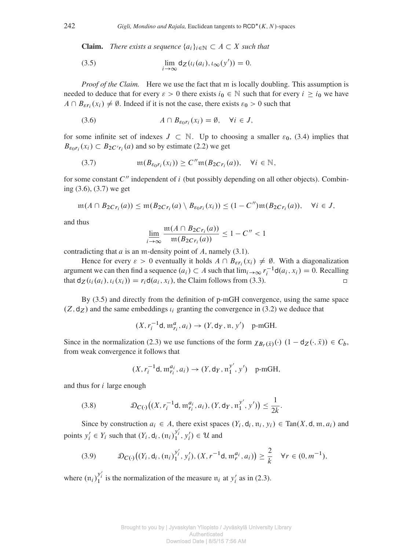**Claim.** *There exists a sequence*  $\{a_i\}_{i\in\mathbb{N}} \subset A \subset X$  *such that* 

<span id="page-10-2"></span>(3.5) 
$$
\lim_{i \to \infty} d_Z(\iota_i(a_i), \iota_\infty(y')) = 0.
$$

*Proof of the Claim.* Here we use the fact that m is locally doubling. This assumption is needed to deduce that for every  $\varepsilon > 0$  there exists  $i_0 \in \mathbb{N}$  such that for every  $i \ge i_0$  we have  $A \cap B_{\epsilon r_i}(x_i) \neq \emptyset$ . Indeed if it is not the case, there exists  $\varepsilon_0 > 0$  such that

<span id="page-10-0"></span>(3.6) 
$$
A \cap B_{\varepsilon_0 r_i}(x_i) = \emptyset, \quad \forall i \in J,
$$

for some infinite set of indexes  $J \subset \mathbb{N}$ . Up to choosing a smaller  $\varepsilon_0$ , [\(3.4\)](#page-9-1) implies that  $B_{\epsilon_0 r_i}(x_i) \subset B_{2C'r_i}(a)$  and so by estimate [\(2.2\)](#page-4-2) we get

<span id="page-10-1"></span>(3.7) 
$$
\mathfrak{m}(B_{\varepsilon_0 r_i}(x_i)) \geq C'' \mathfrak{m}(B_{2Cr_i}(a)), \quad \forall i \in \mathbb{N},
$$

for some constant  $C''$  independent of i (but possibly depending on all other objects). Combining [\(3.6\)](#page-10-0), [\(3.7\)](#page-10-1) we get

$$
\mathfrak{m}(A \cap B_{2Cr_i}(a)) \leq \mathfrak{m}(B_{2Cr_i}(a) \setminus B_{\varepsilon_0r_i}(x_i)) \leq (1 - C'')\mathfrak{m}(B_{2Cr_i}(a)), \quad \forall i \in J,
$$

and thus

$$
\underline{\lim_{i \to \infty} \frac{\mathfrak{m}(A \cap B_2 c_{r_i}(a))}{\mathfrak{m}(B_2 c_{r_i}(a))}} \le 1 - C'' < 1
$$

contradicting that  $a$  is an m-density point of  $A$ , namely [\(3.1\)](#page-9-2).

Hence for every  $\varepsilon > 0$  eventually it holds  $A \cap B_{\varepsilon r_i}(x_i) \neq \emptyset$ . With a diagonalization argument we can then find a sequence  $(a_i) \subset A$  such that  $\lim_{i \to \infty} r_i^{-1} d(a_i, x_i) = 0$ . Recalling that  $d_Z(i_i(a_i), i_i(x_i)) = r_i d(a_i, x_i)$ , the Claim follows from [\(3.3\)](#page-9-3).  $\Box$ 

By [\(3.5\)](#page-10-2) and directly from the definition of p-mGH convergence, using the same space  $(Z, d_Z)$  and the same embeddings  $i_i$  granting the convergence in [\(3.2\)](#page-9-0) we deduce that

$$
(X, r_i^{-1}d, \mathfrak{m}_{r_i}^a, a_i) \to (Y, \mathsf{d}_Y, \mathfrak{n}, y') \quad \text{p-mGH.}
$$

Since in the normalization [\(2.3\)](#page-5-1) we use functions of the form  $\chi_{B_r(\bar{x})}(\cdot)$   $(1 - d_Z(\cdot, \bar{x})) \in C_b$ , from weak convergence it follows that

<span id="page-10-3"></span>
$$
(X, r_i^{-1}d, \mathfrak{m}_{r_i}^{a_i}, a_i) \to (Y, \mathsf{d}_Y, \mathfrak{n}_1^{y'}, y') \quad \text{p-mGH},
$$

and thus for i large enough

(3.8) 
$$
\mathcal{D}_{C(\cdot)}\big((X,r_i^{-1}d,\mathfrak{m}_{r_i}^{a_i},a_i),(Y,d_Y,\mathfrak{n}_1^{y'},y')\big) \leq \frac{1}{2k}.
$$

Since by construction  $a_i \in A$ , there exist spaces  $(Y_i, d_i, \mathfrak{n}_i, y_i) \in \text{Tan}(X, d, \mathfrak{m}, a_i)$  and points  $y_i'$  $i \in Y_i$  such that  $(Y_i, d_i, (n_i)_{1}^{y_i'}, y_i') \in \mathcal{U}$  and

<span id="page-10-4"></span>(3.9) 
$$
\mathcal{D}_{C(\cdot)}\big((Y_i, \mathsf{d}_i, (\mathfrak{n}_i)_{1}^{y'_i}, y'_i), (X, r^{-1}\mathsf{d}, \mathfrak{m}_r^{a_i}, a_i)\big) \geq \frac{2}{k} \quad \forall r \in (0, m^{-1}),
$$

where  $(\mathfrak{n}_i)_{1}^{y'_i}$  is the normalization of the measure  $\mathfrak{n}_i$  at  $y'_i$  $i_{i}$  as in [\(2.3\)](#page-5-1).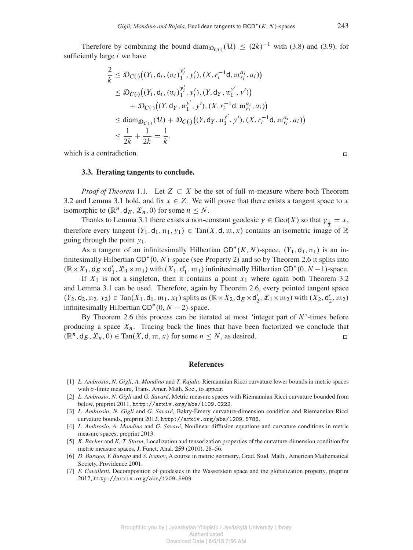Therefore by combining the bound diam  $p_{C(·)}(\mathcal{U}) \leq (2k)^{-1}$  with [\(3.8\)](#page-10-3) and [\(3.9\)](#page-10-4), for sufficiently large i we have

$$
\frac{2}{k} \leq \mathcal{D}_{C(\cdot)}((Y_i, \mathsf{d}_i, (\mathfrak{n}_i)_{1}^{y'_i}, y'_i), (X, r_i^{-1}\mathsf{d}, \mathfrak{m}_{r_i}^{a_i}, a_i))
$$
\n
$$
\leq \mathcal{D}_{C(\cdot)}((Y_i, \mathsf{d}_i, (\mathfrak{n}_i)_{1}^{y'_i}, y'_i), (Y, \mathsf{d}_Y, \mathfrak{n}_1^{y'}, y'))
$$
\n
$$
+ \mathcal{D}_{C(\cdot)}((Y, \mathsf{d}_Y, \mathfrak{n}_1^{y'}, y'), (X, r_i^{-1}\mathsf{d}, \mathfrak{m}_{r_i}^{a_i}, a_i))
$$
\n
$$
\leq \text{diam}_{\mathcal{D}_{C(\cdot)}}(\mathfrak{U}) + \mathcal{D}_{C(\cdot)}((Y, \mathsf{d}_Y, \mathfrak{n}_1^{y'}, y'), (X, r_i^{-1}\mathsf{d}, \mathfrak{m}_{r_i}^{a_i}, a_i))
$$
\n
$$
\leq \frac{1}{2k} + \frac{1}{2k} = \frac{1}{k},
$$

<span id="page-11-0"></span>which is a contradiction.

#### 3.3. Iterating tangents to conclude.

*Proof of Theorem* [1.1](#page-2-0). Let  $Z \subset X$  be the set of full m-measure where both Theorem [3.2](#page-8-0) and Lemma [3.1](#page-7-2) hold, and fix  $x \in Z$ . We will prove that there exists a tangent space to x isomorphic to  $(\mathbb{R}^n, d_E, \mathcal{L}_n, 0)$  for some  $n \leq N$ .

Thanks to Lemma [3.1](#page-7-2) there exists a non-constant geodesic  $\gamma \in \text{Geo}(X)$  so that  $\gamma_{\frac{1}{2}} = x$ , therefore every tangent  $(Y_1, d_1, \mathfrak{n}_1, y_1) \in \text{Tan}(X, d, \mathfrak{m}, x)$  contains an isometric image of  $\mathbb R$ going through the point  $y_1$ .

As a tangent of an infinitesimally Hilbertian  $CD^*(K, N)$ -space,  $(Y_1, d_1, \mathfrak{n}_1)$  is an infinitesimally Hilbertian  $CD^*(0, N)$ -space (see Property [2\)](#page-7-3) and so by Theorem [2.6](#page-7-1) it splits into  $(\mathbb{R} \times X_1, \mathsf{d}_E \times \mathsf{d}_1)$  $\mathcal{L}_1$ ,  $\mathcal{L}_1 \times \mathfrak{m}_1$ ) with  $(X_1, d)$  $'_{1}$ ,  $\mathfrak{m}_{1}$ ) infinitesimally Hilbertian CD<sup>\*</sup>(0, N - 1)-space.

If  $X_1$  is not a singleton, then it contains a point  $x_1$  where again both Theorem [3.2](#page-8-0) and Lemma [3.1](#page-7-2) can be used. Therefore, again by Theorem [2.6,](#page-7-1) every pointed tangent space  $(Y_2, \mathsf{d}_2, \mathfrak{n}_2, y_2) \in \text{Tan}(X_1, \mathsf{d}_1, \mathfrak{m}_1, x_1)$  splits as  $(\mathbb{R} \times X_2, \mathsf{d}_E \times \mathsf{d}_2')$  $\chi'_2$ ,  $\mathcal{L}_1 \times \mathfrak{m}_2$ ) with  $(X_2, d'_2)$  $2', \mathfrak{m}_2)$ infinitesimally Hilbertian  $CD^*(0, N-2)$ -space.

By Theorem [2.6](#page-7-1) this process can be iterated at most 'integer part of  $N$ '-times before producing a space  $X_n$ . Tracing back the lines that have been factorized we conclude that  $(\mathbb{R}^n, d_E, \mathcal{L}_n, 0) \in \text{Tan}(X, d, \mathfrak{m}, x)$  for some  $n \leq N$ , as desired.  $\Box$ 

#### References

- <span id="page-11-4"></span>[1] *L. Ambrosio*, *N. Gigli*, *A. Mondino* and *T. Rajala*, Riemannian Ricci curvature lower bounds in metric spaces with  $\sigma$ -finite measure, Trans. Amer. Math. Soc., to appear.
- <span id="page-11-3"></span>[2] *L. Ambrosio*, *N. Gigli* and *G. Savaré*, Metric measure spaces with Riemannian Ricci curvature bounded from below, preprint 2011, <http://arxiv.org/abs/1109.0222>.
- <span id="page-11-5"></span>[3] *L. Ambrosio*, *N. Gigli* and *G. Savaré*, Bakry-Émery curvature-dimension condition and Riemannian Ricci curvature bounds, preprint 2012, <http://arxiv.org/abs/1209.5786>.
- <span id="page-11-6"></span>[4] *L. Ambrosio*, *A. Mondino* and *G. Savaré*, Nonlinear diffusion equations and curvature conditions in metric measure spaces, preprint 2013.
- <span id="page-11-1"></span>[5] *K. Bacher* and *K.-T. Sturm*, Localization and tensorization properties of the curvature-dimension condition for metric measure spaces, J. Funct. Anal. 259 (2010), 28–56.
- <span id="page-11-7"></span>[6] *D. Burago*, *Y. Burago* and *S. Ivanov*, A course in metric geometry, Grad. Stud. Math., American Mathematical Society, Providence 2001.
- <span id="page-11-2"></span>[7] *F. Cavalletti*, Decomposition of geodesics in the Wasserstein space and the globalization property, preprint 2012, <http://arxiv.org/abs/1209.5909>.

 $\Box$